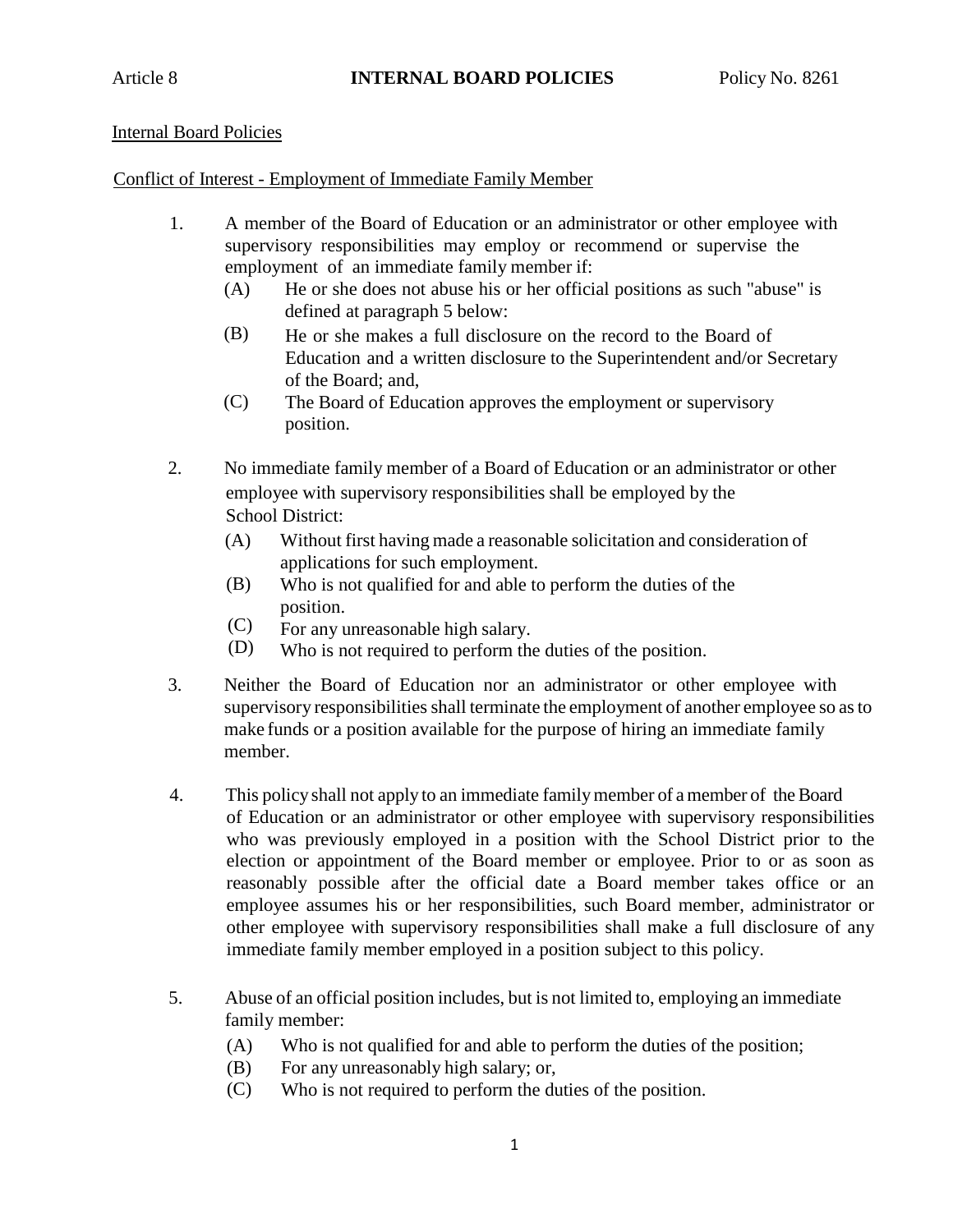## Internal Board Policies

## Conflict of Interest - Employment of Immediate Family Member

- 1. A member of the Board of Education or an administrator or other employee with supervisory responsibilities may employ or recommend or supervise the employment of an immediate family member if:
	- (A) He or she does not abuse his or her official positions as such "abuse" is defined at paragraph 5 below:
	- (B) He or she makes a full disclosure on the record to the Board of Education and a written disclosure to the Superintendent and/or Secretary of the Board; and,
	- (C) The Board of Education approves the employment or supervisory position.
- 2. No immediate family member of a Board of Education or an administrator or other employee with supervisory responsibilities shall be employed by the School District:
	- (A) Without first having made a reasonable solicitation and consideration of applications for such employment.
	- (B) Who is not qualified for and able to perform the duties of the position.
	- (C) For any unreasonable high salary.
	- (D) Who is not required to perform the duties of the position.
- 3. Neither the Board of Education nor an administrator or other employee with supervisory responsibilities shall terminate the employment of another employee so as to make funds or a position available for the purpose of hiring an immediate family member.
- 4. This policy shall not apply to an immediate familymember of a member of theBoard of Education or an administrator or other employee with supervisory responsibilities who was previously employed in a position with the School District prior to the election or appointment of the Board member or employee. Prior to or as soon as reasonably possible after the official date a Board member takes office or an employee assumes his or her responsibilities, such Board member, administrator or other employee with supervisory responsibilities shall make a full disclosure of any immediate family member employed in a position subject to this policy.
- 5. Abuse of an official position includes, but is not limited to, employing an immediate family member:
	- $(A)$ Who is not qualified for and able to perform the duties of the position;
	- (B) For any unreasonably high salary; or,
	- $(C)$ Who is not required to perform the duties of the position.